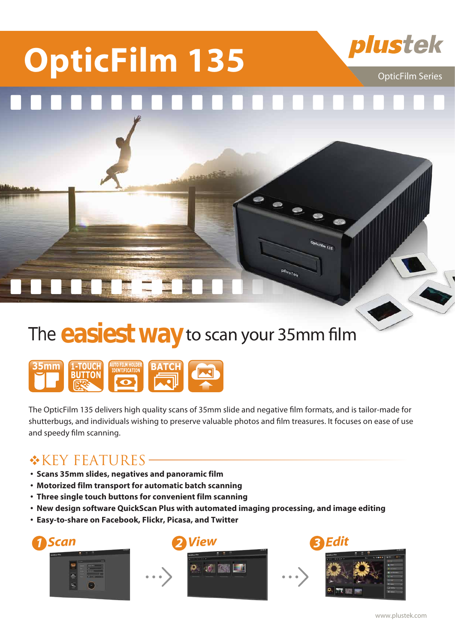# **OpticFilm 135** Plustek

# The **easiest way** to scan your 35mm film

**JAMINE** 



The OpticFilm 135 delivers high quality scans of 35mm slide and negative film formats, and is tailor-made for shutterbugs, and individuals wishing to preserve valuable photos and film treasures. It focuses on ease of use and speedy film scanning.

### \*KEY FEATURES—

- **�Scans 35mm slides, negatives and panoramic film**
- **�Motorized film transport for automatic batch scanning**
- **Three single touch buttons for convenient film scanning**
- **New design software QuickScan Plus with automated imaging processing, and image editing**
- **�Easy-to-share on Facebook, Flickr, Picasa, and Twitter**





OpticFilm 135

plustek